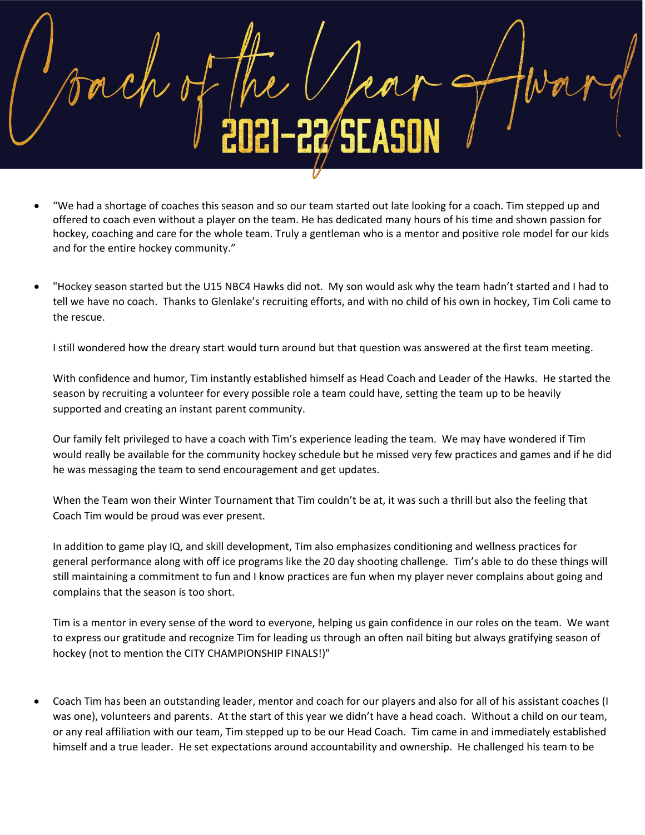• "We had a shortage of coaches this season and so our team started out late looking for a coach. Tim stepped up and offered to coach even without a player on the team. He has dedicated many hours of his time and shown passion for hockey, coaching and care for the whole team. Truly a gentleman who is a mentor and positive role model for our kids and for the entire hockey community."

• "Hockey season started but the U15 NBC4 Hawks did not. My son would ask why the team hadn't started and I had to tell we have no coach. Thanks to Glenlake's recruiting efforts, and with no child of his own in hockey, Tim Coli came to the rescue.

I still wondered how the dreary start would turn around but that question was answered at the first team meeting.

With confidence and humor, Tim instantly established himself as Head Coach and Leader of the Hawks. He started the season by recruiting a volunteer for every possible role a team could have, setting the team up to be heavily supported and creating an instant parent community.

Our family felt privileged to have a coach with Tim's experience leading the team. We may have wondered if Tim would really be available for the community hockey schedule but he missed very few practices and games and if he did he was messaging the team to send encouragement and get updates.

When the Team won their Winter Tournament that Tim couldn't be at, it was such a thrill but also the feeling that Coach Tim would be proud was ever present.

In addition to game play IQ, and skill development, Tim also emphasizes conditioning and wellness practices for general performance along with off ice programs like the 20 day shooting challenge. Tim's able to do these things will still maintaining a commitment to fun and I know practices are fun when my player never complains about going and complains that the season is too short.

Tim is a mentor in every sense of the word to everyone, helping us gain confidence in our roles on the team. We want to express our gratitude and recognize Tim for leading us through an often nail biting but always gratifying season of hockey (not to mention the CITY CHAMPIONSHIP FINALS!)"

• Coach Tim has been an outstanding leader, mentor and coach for our players and also for all of his assistant coaches (I was one), volunteers and parents. At the start of this year we didn't have a head coach. Without a child on our team, or any real affiliation with our team, Tim stepped up to be our Head Coach. Tim came in and immediately established himself and a true leader. He set expectations around accountability and ownership. He challenged his team to be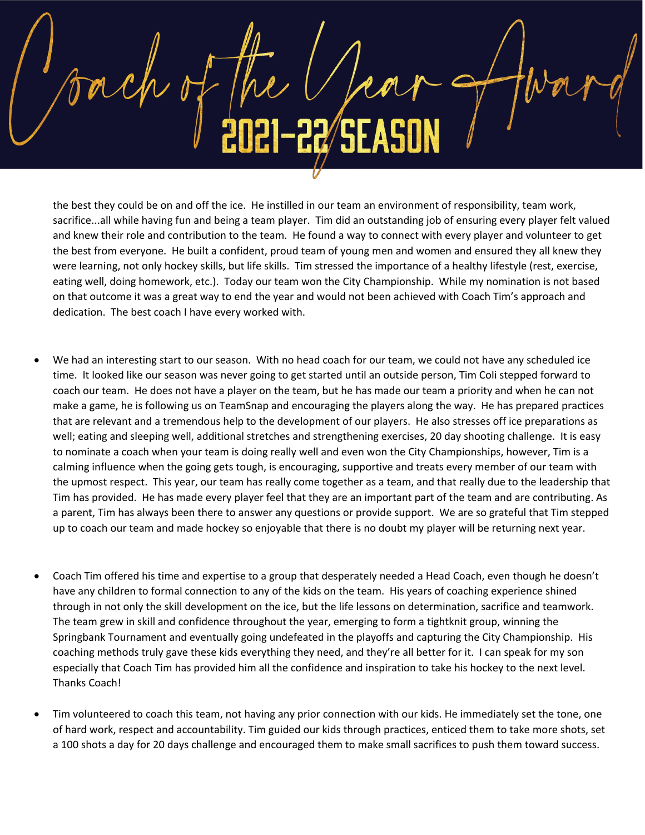the best they could be on and off the ice. He instilled in our team an environment of responsibility, team work, sacrifice...all while having fun and being a team player. Tim did an outstanding job of ensuring every player felt valued and knew their role and contribution to the team. He found a way to connect with every player and volunteer to get the best from everyone. He built a confident, proud team of young men and women and ensured they all knew they were learning, not only hockey skills, but life skills. Tim stressed the importance of a healthy lifestyle (rest, exercise, eating well, doing homework, etc.). Today our team won the City Championship. While my nomination is not based on that outcome it was a great way to end the year and would not been achieved with Coach Tim's approach and dedication. The best coach I have every worked with.

- We had an interesting start to our season. With no head coach for our team, we could not have any scheduled ice time. It looked like our season was never going to get started until an outside person, Tim Coli stepped forward to coach our team. He does not have a player on the team, but he has made our team a priority and when he can not make a game, he is following us on TeamSnap and encouraging the players along the way. He has prepared practices that are relevant and a tremendous help to the development of our players. He also stresses off ice preparations as well; eating and sleeping well, additional stretches and strengthening exercises, 20 day shooting challenge. It is easy to nominate a coach when your team is doing really well and even won the City Championships, however, Tim is a calming influence when the going gets tough, is encouraging, supportive and treats every member of our team with the upmost respect. This year, our team has really come together as a team, and that really due to the leadership that Tim has provided. He has made every player feel that they are an important part of the team and are contributing. As a parent, Tim has always been there to answer any questions or provide support. We are so grateful that Tim stepped up to coach our team and made hockey so enjoyable that there is no doubt my player will be returning next year.
- Coach Tim offered his time and expertise to a group that desperately needed a Head Coach, even though he doesn't have any children to formal connection to any of the kids on the team. His years of coaching experience shined through in not only the skill development on the ice, but the life lessons on determination, sacrifice and teamwork. The team grew in skill and confidence throughout the year, emerging to form a tightknit group, winning the Springbank Tournament and eventually going undefeated in the playoffs and capturing the City Championship. His coaching methods truly gave these kids everything they need, and they're all better for it. I can speak for my son especially that Coach Tim has provided him all the confidence and inspiration to take his hockey to the next level. Thanks Coach!
- Tim volunteered to coach this team, not having any prior connection with our kids. He immediately set the tone, one of hard work, respect and accountability. Tim guided our kids through practices, enticed them to take more shots, set a 100 shots a day for 20 days challenge and encouraged them to make small sacrifices to push them toward success.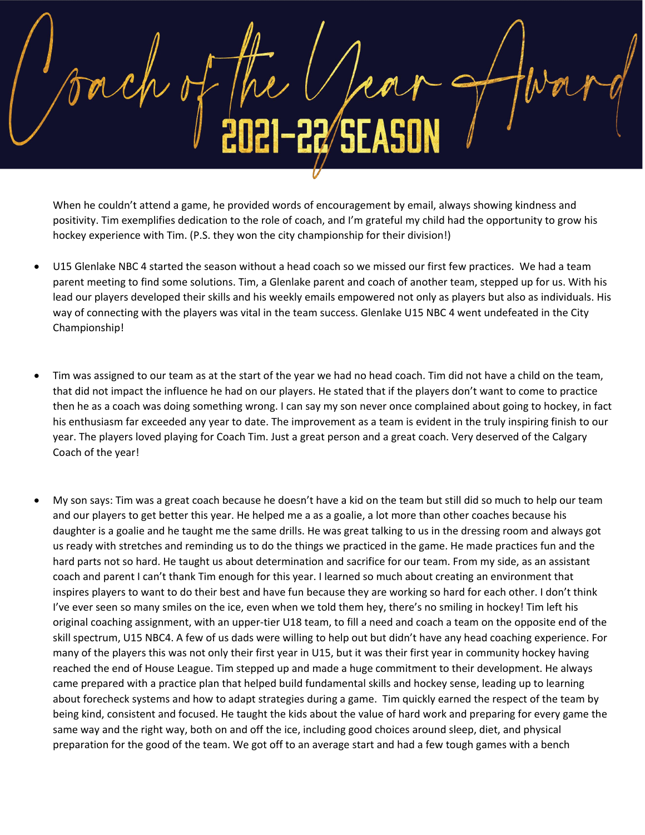When he couldn't attend a game, he provided words of encouragement by email, always showing kindness and positivity. Tim exemplifies dedication to the role of coach, and I'm grateful my child had the opportunity to grow his hockey experience with Tim. (P.S. they won the city championship for their division!)

- U15 Glenlake NBC 4 started the season without a head coach so we missed our first few practices. We had a team parent meeting to find some solutions. Tim, a Glenlake parent and coach of another team, stepped up for us. With his lead our players developed their skills and his weekly emails empowered not only as players but also as individuals. His way of connecting with the players was vital in the team success. Glenlake U15 NBC 4 went undefeated in the City Championship!
- Tim was assigned to our team as at the start of the year we had no head coach. Tim did not have a child on the team, that did not impact the influence he had on our players. He stated that if the players don't want to come to practice then he as a coach was doing something wrong. I can say my son never once complained about going to hockey, in fact his enthusiasm far exceeded any year to date. The improvement as a team is evident in the truly inspiring finish to our year. The players loved playing for Coach Tim. Just a great person and a great coach. Very deserved of the Calgary Coach of the year!
- My son says: Tim was a great coach because he doesn't have a kid on the team but still did so much to help our team and our players to get better this year. He helped me a as a goalie, a lot more than other coaches because his daughter is a goalie and he taught me the same drills. He was great talking to us in the dressing room and always got us ready with stretches and reminding us to do the things we practiced in the game. He made practices fun and the hard parts not so hard. He taught us about determination and sacrifice for our team. From my side, as an assistant coach and parent I can't thank Tim enough for this year. I learned so much about creating an environment that inspires players to want to do their best and have fun because they are working so hard for each other. I don't think I've ever seen so many smiles on the ice, even when we told them hey, there's no smiling in hockey! Tim left his original coaching assignment, with an upper-tier U18 team, to fill a need and coach a team on the opposite end of the skill spectrum, U15 NBC4. A few of us dads were willing to help out but didn't have any head coaching experience. For many of the players this was not only their first year in U15, but it was their first year in community hockey having reached the end of House League. Tim stepped up and made a huge commitment to their development. He always came prepared with a practice plan that helped build fundamental skills and hockey sense, leading up to learning about forecheck systems and how to adapt strategies during a game. Tim quickly earned the respect of the team by being kind, consistent and focused. He taught the kids about the value of hard work and preparing for every game the same way and the right way, both on and off the ice, including good choices around sleep, diet, and physical preparation for the good of the team. We got off to an average start and had a few tough games with a bench